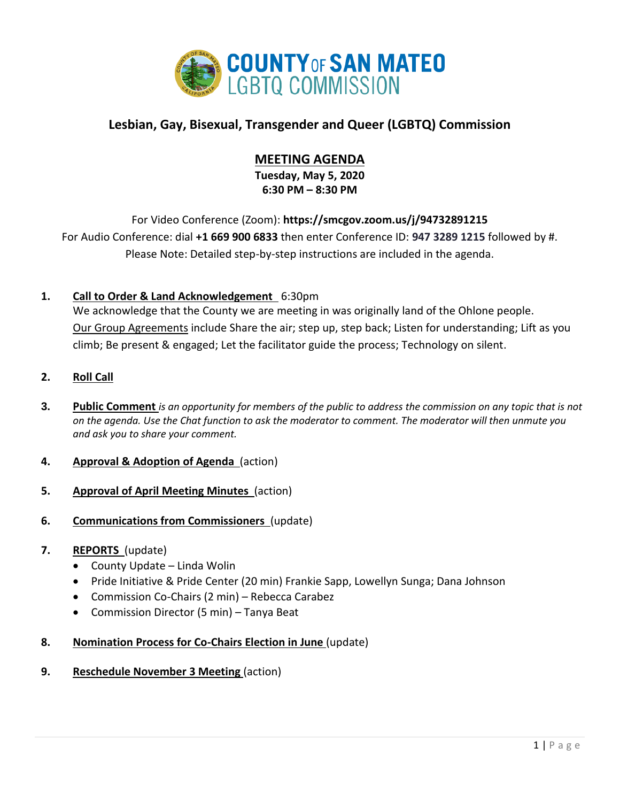

# **Lesbian, Gay, Bisexual, Transgender and Queer (LGBTQ) Commission**

# **MEETING AGENDA**

**Tuesday, May 5, 2020 6:30 PM – 8:30 PM**

For Video Conference (Zoom): **https://smcgov.zoom.us/j/94732891215** For Audio Conference: dial **+1 669 900 6833** then enter Conference ID: **947 3289 1215** followed by #. Please Note: Detailed step-by-step instructions are included in the agenda.

# **1. Call to Order & Land Acknowledgement** 6:30pm

We acknowledge that the County we are meeting in was originally land of the Ohlone people. Our Group Agreements include Share the air; step up, step back; Listen for understanding; Lift as you climb; Be present & engaged; Let the facilitator guide the process; Technology on silent.

## **2. Roll Call**

- **3. Public Comment** *is an opportunity for members of the public to address the commission on any topic that is not on the agenda. Use the Chat function to ask the moderator to comment. The moderator will then unmute you and ask you to share your comment.*
- **4. Approval & Adoption of Agenda** (action)
- **5. Approval of April Meeting Minutes** (action)
- **6. Communications from Commissioners** (update)

### **7. REPORTS** (update)

- County Update Linda Wolin
- Pride Initiative & Pride Center (20 min) Frankie Sapp, Lowellyn Sunga; Dana Johnson
- Commission Co-Chairs (2 min) Rebecca Carabez
- Commission Director (5 min) Tanya Beat
- **8. Nomination Process for Co-Chairs Election in June** (update)
- **9. Reschedule November 3 Meeting** (action)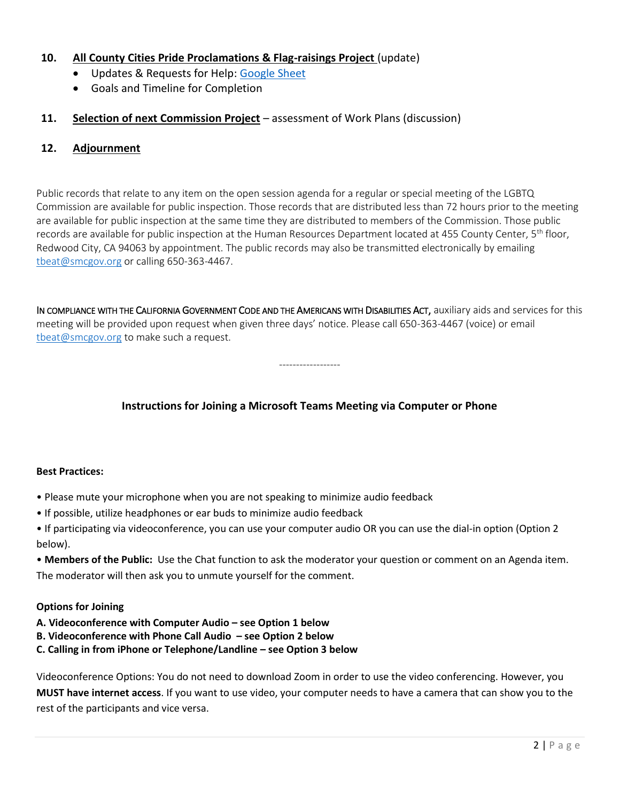## **10. All County Cities Pride Proclamations & Flag-raisings Project** (update)

- Updates & Requests for Help: [Google Sheet](https://docs.google.com/spreadsheets/d/15lLQPfnNXnlG4LZB08H2AxVDZjWj2j0jPPpaQB0NJSA/edit?usp=sharing)
- Goals and Timeline for Completion

### **11. Selection of next Commission Project** – assessment of Work Plans (discussion)

### **12. Adjournment**

Public records that relate to any item on the open session agenda for a regular or special meeting of the LGBTQ Commission are available for public inspection. Those records that are distributed less than 72 hours prior to the meeting are available for public inspection at the same time they are distributed to members of the Commission. Those public records are available for public inspection at the Human Resources Department located at 455 County Center, 5<sup>th</sup> floor, Redwood City, CA 94063 by appointment. The public records may also be transmitted electronically by emailing [tbeat@smcgov.org](mailto:tbeat@smcgov.org) or calling 650-363-4467.

IN COMPLIANCE WITH THE CALIFORNIA GOVERNMENT CODE AND THE AMERICANS WITH DISABILITIES ACT, auxiliary aids and services for this meeting will be provided upon request when given three days' notice. Please call 650-363-4467 (voice) or email [tbeat@smcgov.org](mailto:tbeat@smcgov.org) to make such a request.

------------------

# **Instructions for Joining a Microsoft Teams Meeting via Computer or Phone**

#### **Best Practices:**

- Please mute your microphone when you are not speaking to minimize audio feedback
- If possible, utilize headphones or ear buds to minimize audio feedback

• If participating via videoconference, you can use your computer audio OR you can use the dial-in option (Option 2 below).

• **Members of the Public:** Use the Chat function to ask the moderator your question or comment on an Agenda item. The moderator will then ask you to unmute yourself for the comment.

#### **Options for Joining**

- **A. Videoconference with Computer Audio – see Option 1 below**
- **B. Videoconference with Phone Call Audio – see Option 2 below**
- **C. Calling in from iPhone or Telephone/Landline – see Option 3 below**

Videoconference Options: You do not need to download Zoom in order to use the video conferencing. However, you **MUST have internet access**. If you want to use video, your computer needs to have a camera that can show you to the rest of the participants and vice versa.